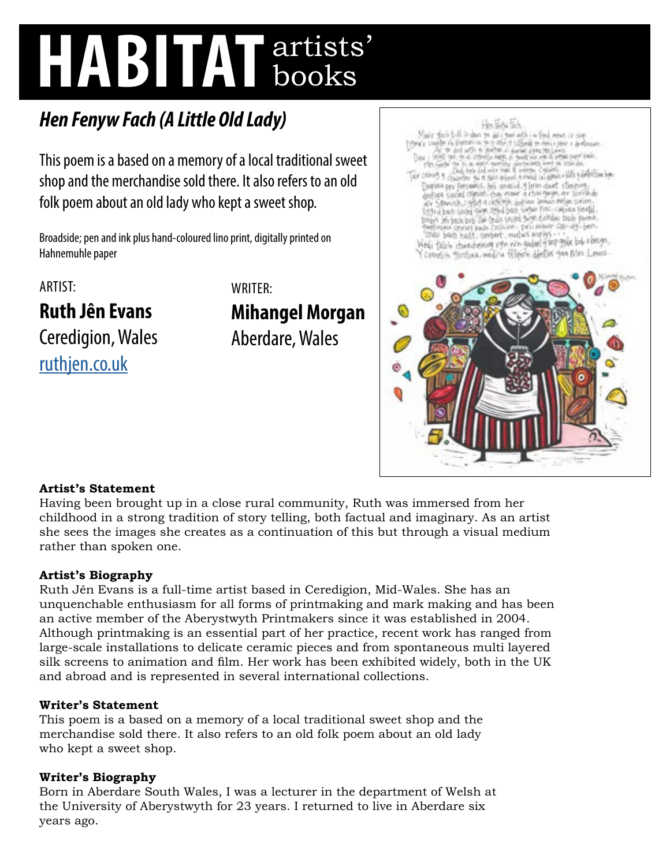# **HABITAT** artists' books

# *Hen Fenyw Fach (A Little Old Lady)*

This poem is a based on a memory of a local traditional sweet shop and the merchandise sold there. It also refers to an old folk poem about an old lady who kept a sweet shop.

Broadside; pen and ink plus hand-coloured lino print, digitally printed on Hahnemuhle paper

ARTIST:

**Ruth Jên Evans**  Ceredigion, Wales [ruthjen.co.uk](http://ruthjen.co.uk)

WRITER:

**Mihangel Morgan**  Aberdare, Wales



## **Artist's Statement**

Having been brought up in a close rural community, Ruth was immersed from her childhood in a strong tradition of story telling, both factual and imaginary. As an artist she sees the images she creates as a continuation of this but through a visual medium rather than spoken one.

## **Artist's Biography**

Ruth Jên Evans is a full-time artist based in Ceredigion, Mid-Wales. She has an unquenchable enthusiasm for all forms of printmaking and mark making and has been an active member of the Aberystwyth Printmakers since it was established in 2004. Although printmaking is an essential part of her practice, recent work has ranged from large-scale installations to delicate ceramic pieces and from spontaneous multi layered silk screens to animation and film. Her work has been exhibited widely, both in the UK and abroad and is represented in several international collections.

## **Writer's Statement**

This poem is a based on a memory of a local traditional sweet shop and the merchandise sold there. It also refers to an old folk poem about an old lady who kept a sweet shop.

## **Writer's Biography**

Born in Aberdare South Wales, I was a lecturer in the department of Welsh at the University of Aberystwyth for 23 years. I returned to live in Aberdare six years ago.